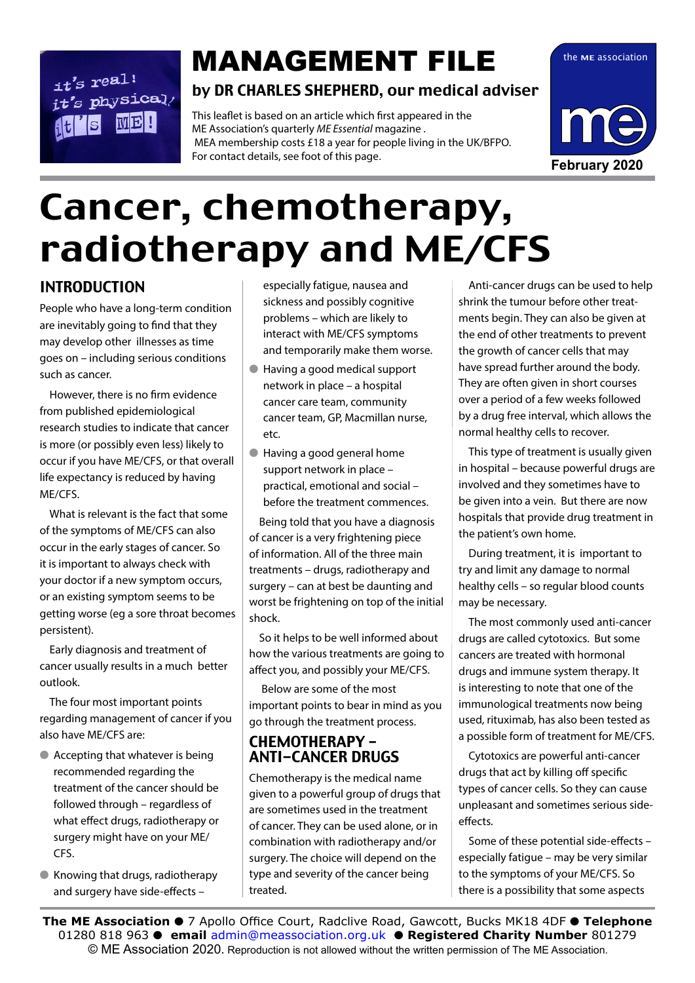# $it's$  real!  $it's$  rear.<br> $it's$  physical/ **ME!**

# by DR CHARLES SHEPHERD, our medical adviser **MANAGEMENT FILE** the ME association

This leaflet is based on an article which first appeared in the ME Association's quarterly *ME Essential* magazine . MEA membership costs £18 a year for people living in the UK/BFPO. For contact details, see foot of this page.



# Cancer, chemotherapy, radiotherapy and ME/CFS

# INTRODUCTION

People who have a long-term condition are inevitably going to find that they may develop other illnesses as time goes on – including serious conditions such as cancer.

However, there is no firm evidence from published epidemiological research studies to indicate that cancer is more (or possibly even less) likely to occur if you have ME/CFS, or that overall life expectancy is reduced by having ME/CFS.

What is relevant is the fact that some of the symptoms of ME/CFS can also occur in the early stages of cancer. So it is important to always check with your doctor if a new symptom occurs, or an existing symptom seems to be getting worse (eg a sore throat becomes persistent).

Early diagnosis and treatment of cancer usually results in a much better outlook.

The four most important points regarding management of cancer if you also have ME/CFS are:

- $\bullet$  Accepting that whatever is being recommended regarding the treatment of the cancer should be followed through – regardless of what effect drugs, radiotherapy or surgery might have on your ME/ CFS.
- l Knowing that drugs, radiotherapy and surgery have side-effects –

especially fatigue, nausea and sickness and possibly cognitive problems – which are likely to interact with ME/CFS symptoms and temporarily make them worse.

- Having a good medical support network in place – a hospital cancer care team, community cancer team, GP, Macmillan nurse, etc.
- l Having a good general home support network in place – practical, emotional and social – before the treatment commences.

Being told that you have a diagnosis of cancer is a very frightening piece of information. All of the three main treatments – drugs, radiotherapy and surgery – can at best be daunting and worst be frightening on top of the initial shock.

So it helps to be well informed about how the various treatments are going to affect you, and possibly your ME/CFS.

 Below are some of the most important points to bear in mind as you go through the treatment process.

# CHEMOTHERAPY – ANTI-CANCER DRUGS

Chemotherapy is the medical name given to a powerful group of drugs that are sometimes used in the treatment of cancer. They can be used alone, or in combination with radiotherapy and/or surgery. The choice will depend on the type and severity of the cancer being treated.

Anti-cancer drugs can be used to help shrink the tumour before other treatments begin. They can also be given at the end of other treatments to prevent the growth of cancer cells that may have spread further around the body. They are often given in short courses over a period of a few weeks followed by a drug free interval, which allows the normal healthy cells to recover.

This type of treatment is usually given in hospital – because powerful drugs are involved and they sometimes have to be given into a vein. But there are now hospitals that provide drug treatment in the patient's own home.

During treatment, it is important to try and limit any damage to normal healthy cells – so regular blood counts may be necessary.

The most commonly used anti-cancer drugs are called cytotoxics. But some cancers are treated with hormonal drugs and immune system therapy. It is interesting to note that one of the immunological treatments now being used, rituximab, has also been tested as a possible form of treatment for ME/CFS.

Cytotoxics are powerful anti-cancer drugs that act by killing off specific types of cancer cells. So they can cause unpleasant and sometimes serious sideeffects.

Some of these potential side-effects – especially fatigue – may be very similar to the symptoms of your ME/CFS. So there is a possibility that some aspects

© ME Association 2020. Reproduction is not allowed without the written permission of The ME Association.<br>— **The ME Association ● 7** Apollo Office Court, Radclive Road, Gawcott, Bucks MK18 4DF ● Telephone 01280 818 963 l **email** admin@meassociation.org.uk l **Registered Charity Number** 801279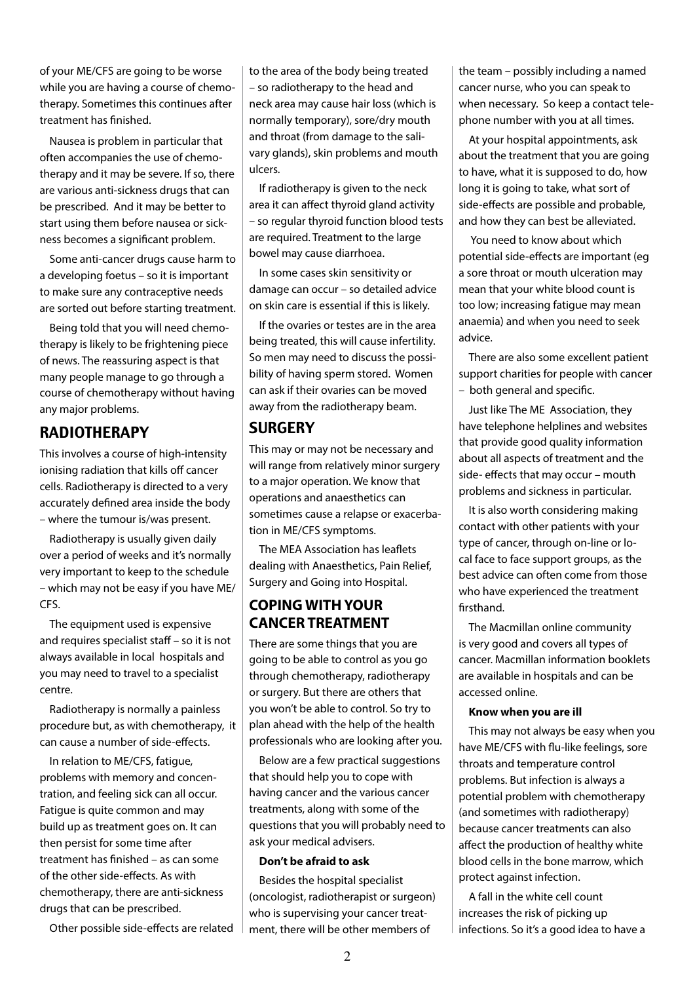of your ME/CFS are going to be worse while you are having a course of chemotherapy. Sometimes this continues after treatment has finished.

Nausea is problem in particular that often accompanies the use of chemotherapy and it may be severe. If so, there are various anti-sickness drugs that can be prescribed. And it may be better to start using them before nausea or sickness becomes a significant problem.

Some anti-cancer drugs cause harm to a developing foetus – so it is important to make sure any contraceptive needs are sorted out before starting treatment.

Being told that you will need chemotherapy is likely to be frightening piece of news. The reassuring aspect is that many people manage to go through a course of chemotherapy without having any major problems.

## **RADIOTHERAPY**

This involves a course of high-intensity ionising radiation that kills off cancer cells. Radiotherapy is directed to a very accurately defined area inside the body – where the tumour is/was present.

Radiotherapy is usually given daily over a period of weeks and it's normally very important to keep to the schedule – which may not be easy if you have ME/ CFS.

The equipment used is expensive and requires specialist staff – so it is not always available in local hospitals and you may need to travel to a specialist centre.

Radiotherapy is normally a painless procedure but, as with chemotherapy, it can cause a number of side-effects.

In relation to ME/CFS, fatigue, problems with memory and concentration, and feeling sick can all occur. Fatigue is quite common and may build up as treatment goes on. It can then persist for some time after treatment has finished – as can some of the other side-effects. As with chemotherapy, there are anti-sickness drugs that can be prescribed.

Other possible side-effects are related

to the area of the body being treated – so radiotherapy to the head and neck area may cause hair loss (which is normally temporary), sore/dry mouth and throat (from damage to the salivary glands), skin problems and mouth ulcers.

If radiotherapy is given to the neck area it can affect thyroid gland activity – so regular thyroid function blood tests are required. Treatment to the large bowel may cause diarrhoea.

In some cases skin sensitivity or damage can occur – so detailed advice on skin care is essential if this is likely.

If the ovaries or testes are in the area being treated, this will cause infertility. So men may need to discuss the possibility of having sperm stored. Women can ask if their ovaries can be moved away from the radiotherapy beam.

### **SURGERY**

This may or may not be necessary and will range from relatively minor surgery to a major operation. We know that operations and anaesthetics can sometimes cause a relapse or exacerbation in ME/CFS symptoms.

The MEA Association has leaflets dealing with Anaesthetics, Pain Relief, Surgery and Going into Hospital.

#### **COPING WITH YOUR CANCER TREATMENT**

There are some things that you are going to be able to control as you go through chemotherapy, radiotherapy or surgery. But there are others that you won't be able to control. So try to plan ahead with the help of the health professionals who are looking after you.

Below are a few practical suggestions that should help you to cope with having cancer and the various cancer treatments, along with some of the questions that you will probably need to ask your medical advisers.

#### **Don't be afraid to ask**

Besides the hospital specialist (oncologist, radiotherapist or surgeon) who is supervising your cancer treatment, there will be other members of

the team – possibly including a named cancer nurse, who you can speak to when necessary. So keep a contact telephone number with you at all times.

At your hospital appointments, ask about the treatment that you are going to have, what it is supposed to do, how long it is going to take, what sort of side-effects are possible and probable, and how they can best be alleviated.

 You need to know about which potential side-effects are important (eg a sore throat or mouth ulceration may mean that your white blood count is too low; increasing fatigue may mean anaemia) and when you need to seek advice.

There are also some excellent patient support charities for people with cancer – both general and specific.

Just like The ME Association, they have telephone helplines and websites that provide good quality information about all aspects of treatment and the side- effects that may occur – mouth problems and sickness in particular.

It is also worth considering making contact with other patients with your type of cancer, through on-line or local face to face support groups, as the best advice can often come from those who have experienced the treatment firsthand.

The Macmillan online community is very good and covers all types of cancer. Macmillan information booklets are available in hospitals and can be accessed online.

#### **Know when you are ill**

This may not always be easy when you have ME/CFS with flu-like feelings, sore throats and temperature control problems. But infection is always a potential problem with chemotherapy (and sometimes with radiotherapy) because cancer treatments can also affect the production of healthy white blood cells in the bone marrow, which protect against infection.

A fall in the white cell count increases the risk of picking up infections. So it's a good idea to have a